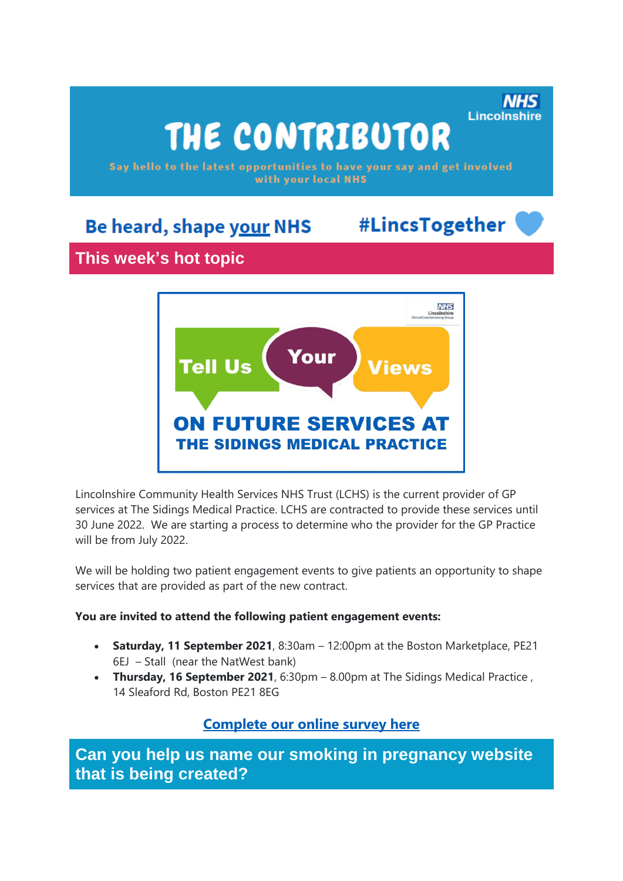# THE CONTRIBUTOR

Say hello to the latest opportunities to have your say and get involved with your local NHS

# Be heard, shape your NHS

# #LincsTogether

Lincolnshire

# **This week's hot topic**



Lincolnshire Community Health Services NHS Trust (LCHS) is the current provider of GP services at The Sidings Medical Practice. LCHS are contracted to provide these services until 30 June 2022. We are starting a process to determine who the provider for the GP Practice will be from July 2022.

We will be holding two patient engagement events to give patients an opportunity to shape services that are provided as part of the new contract.

#### **You are invited to attend the following patient engagement events:**

- **Saturday, 11 September 2021**, 8:30am 12:00pm at the Boston Marketplace, PE21 6EJ – Stall (near the NatWest bank)
- **Thursday, 16 September 2021**, 6:30pm 8.00pm at The Sidings Medical Practice , 14 Sleaford Rd, Boston PE21 8EG

### **[Complete our online survey here](https://nhslincolnshire.qualtrics.com/jfe/form/SV_cwti08wnNabKel8)**

**Can you help us name our smoking in pregnancy website that is being created?**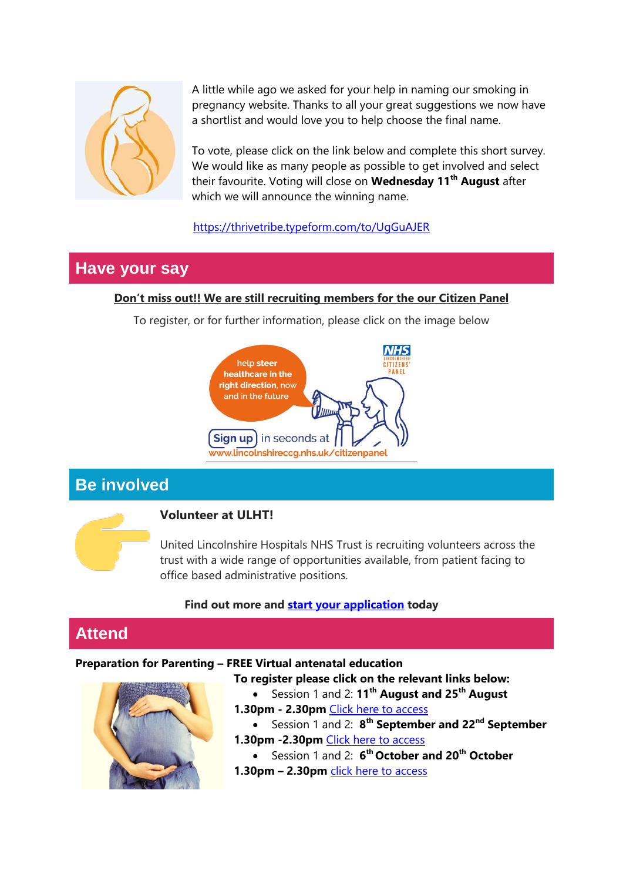

A little while ago we asked for your help in naming our smoking in pregnancy website. Thanks to all your great suggestions we now have a shortlist and would love you to help choose the final name.

To vote, please click on the link below and complete this short survey. We would like as many people as possible to get involved and select their favourite. Voting will close on **Wednesday 11th August** after which we will announce the winning name.

#### <https://thrivetribe.typeform.com/to/UgGuAJER>

## **Have your say**

#### **Don't miss out!! We are still recruiting members for the our Citizen Panel**

To register, or for further information, please click on the image below



# **Be involved**



#### **Volunteer at ULHT!**

United Lincolnshire Hospitals NHS Trust is recruiting volunteers across the trust with a wide range of opportunities available, from patient facing to office based administrative positions.

#### **Find out more and start your [application](https://www.ulh.nhs.uk/jobs/working-for-us/volunteering/) today**

# **Attend**

#### **Preparation for Parenting – FREE Virtual antenatal education**



**To register please click on the relevant links below:** Session 1 and 2: **11th August and 25th August** 

- **1.30pm - 2.30pm** [Click here to access](https://gbr01.safelinks.protection.outlook.com/?url=https%3A%2F%2Fus02web.zoom.us%2Fmeeting%2Fregister%2FtZcocOGoqTwvEtMuGr2MSjAfXxtAH3ot-Z23&data=04%7C01%7CEmily.Turner%40lincolnshire.gov.uk%7C36ceeba4f30c4adccd4908d9193e5547%7Cb4e05b92f8ce46b59b2499ba5c11e5e9%7C0%7C0%7C637568577769414232%7CUnknown%7CTWFpbGZsb3d8eyJWIjoiMC4wLjAwMDAiLCJQIjoiV2luMzIiLCJBTiI6Ik1haWwiLCJXVCI6Mn0%3D%7C1000&sdata=iU0uiendzSc3QF1o1ymnGGCYXtSzyH4sznC1Un1x5G4%3D&reserved=0) 
	- Session 1 and 2: **8 th September and 22nd September**
- **1.30pm -2.30pm** [Click here to access](https://gbr01.safelinks.protection.outlook.com/?url=https%3A%2F%2Fus02web.zoom.us%2Fmeeting%2Fregister%2FtZEpcO2grTkvEtLd6by07Fo6NVWAeprwOqFf&data=04%7C01%7CEmily.Turner%40lincolnshire.gov.uk%7C36ceeba4f30c4adccd4908d9193e5547%7Cb4e05b92f8ce46b59b2499ba5c11e5e9%7C0%7C0%7C637568577769424189%7CUnknown%7CTWFpbGZsb3d8eyJWIjoiMC4wLjAwMDAiLCJQIjoiV2luMzIiLCJBTiI6Ik1haWwiLCJXVCI6Mn0%3D%7C1000&sdata=acElPqzOyD7domGaFdY9xVR51NZBzSYonTrNIlRMsqE%3D&reserved=0)
	- Session 1 and 2: **6 th October and 20th October**
- **1.30pm – 2.30pm** [click here to access](https://gbr01.safelinks.protection.outlook.com/?url=https%3A%2F%2Fus02web.zoom.us%2Fmeeting%2Fregister%2FtZYode-srjwuG9GzSgdJa41wZp5B67JUuebF&data=04%7C01%7CEmily.Turner%40lincolnshire.gov.uk%7C36ceeba4f30c4adccd4908d9193e5547%7Cb4e05b92f8ce46b59b2499ba5c11e5e9%7C0%7C0%7C637568577769424189%7CUnknown%7CTWFpbGZsb3d8eyJWIjoiMC4wLjAwMDAiLCJQIjoiV2luMzIiLCJBTiI6Ik1haWwiLCJXVCI6Mn0%3D%7C1000&sdata=YcJdTknpPd3vvlUS9FXvBqCUUwjJGLPmlBhSZNliN9I%3D&reserved=0)